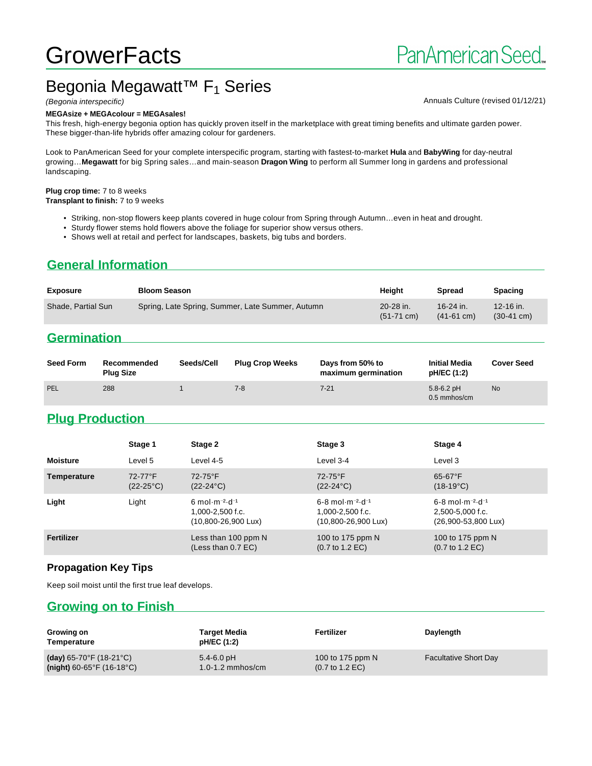# **GrowerFacts**

## Begonia Megawatt<sup>™</sup> F<sub>1</sub> Series

#### **MEGAsize + MEGAcolour = MEGAsales!**

This fresh, high-energy begonia option has quickly proven itself in the marketplace with great timing benefits and ultimate garden power. These bigger-than-life hybrids offer amazing colour for gardeners.

Look to PanAmerican Seed for your complete interspecific program, starting with fastest-to-market **Hula** and **BabyWing** for day-neutral growing…**Megawatt** for big Spring sales…and main-season **Dragon Wing** to perform all Summer long in gardens and professional landscaping.

#### **Plug crop time:** 7 to 8 weeks

**Transplant to finish:** 7 to 9 weeks

- Striking, non-stop flowers keep plants covered in huge colour from Spring through Autumn…even in heat and drought.
- Sturdy flower stems hold flowers above the foliage for superior show versus others.
- Shows well at retail and perfect for landscapes, baskets, big tubs and borders.

#### **General Information**

| <b>Exposure</b>    | <b>Bloom Season</b>                              | Heiaht                            | <b>Spread</b>             | Spacing                           |
|--------------------|--------------------------------------------------|-----------------------------------|---------------------------|-----------------------------------|
| Shade, Partial Sun | Spring, Late Spring, Summer, Late Summer, Autumn | 20-28 in.<br>$(51-71 \text{ cm})$ | 16-24 in.<br>$(41-61$ cm) | 12-16 in.<br>$(30-41 \text{ cm})$ |

#### **Germination**

| <b>Seed Form</b> | Recommended<br><b>Plug Size</b> | Seeds/Cell | <b>Plug Crop Weeks</b> | Days from 50% to<br>maximum germination | <b>Initial Media</b><br>pH/EC (1:2) | <b>Cover Seed</b> |
|------------------|---------------------------------|------------|------------------------|-----------------------------------------|-------------------------------------|-------------------|
| PEL              | 288                             |            | 7-8                    | $7 - 21$                                | $5.8 - 6.2$ pH<br>$0.5$ mmhos/cm    | <b>No</b>         |

#### **Plug Production**

|                 | Stage 1                       | Stage 2                                                                                                      | Stage 3                                                                                        | Stage 4                                                                                    |
|-----------------|-------------------------------|--------------------------------------------------------------------------------------------------------------|------------------------------------------------------------------------------------------------|--------------------------------------------------------------------------------------------|
| <b>Moisture</b> | Level 5                       | Level 4-5                                                                                                    | Level 3-4                                                                                      | Level 3                                                                                    |
| Temperature     | 72-77°F<br>$(22-25^{\circ}C)$ | $72-75$ °F<br>$(22-24^{\circ}C)$                                                                             | 72-75°F<br>$(22-24^{\circ}C)$                                                                  | $65-67$ °F<br>$(18-19^{\circ}C)$                                                           |
| Light           | Light                         | 6 mol $\cdot$ m <sup>-2</sup> $\cdot$ d <sup>-1</sup><br>1,000-2,500 f.c.<br>$(10,800 - 26,900 \text{ Lux})$ | $6 - 8$ mol $\cdot$ m $^{-2}$ $\cdot$ d $^{-1}$<br>$1.000 - 2.500$ f.c.<br>(10,800-26,900 Lux) | $6 - 8$ mol $\cdot$ m $^{-2}$ $\cdot$ d $^{-1}$<br>2,500-5,000 f.c.<br>(26,900-53,800 Lux) |
| Fertilizer      |                               | Less than 100 ppm N<br>(Less than $0.7$ EC)                                                                  | 100 to 175 ppm N<br>$(0.7 \text{ to } 1.2 \text{ EC})$                                         | 100 to 175 ppm N<br>$(0.7 \text{ to } 1.2 \text{ EC})$                                     |

#### **Propagation Key Tips**

Keep soil moist until the first true leaf develops.

#### **Growing on to Finish**

| Growing on<br>Temperature                    | Target Media<br>pH/EC (1:2) | Fertilizer                         | Daylength                    |
|----------------------------------------------|-----------------------------|------------------------------------|------------------------------|
| (day) $65-70^{\circ}$ F (18-21 $^{\circ}$ C) | $5.4 - 6.0$ pH              | 100 to 175 ppm N                   | <b>Facultative Short Day</b> |
| (night) $60-65^{\circ}F(16-18^{\circ}C)$     | $1.0 - 1.2$ mmhos/cm        | $(0.7 \text{ to } 1.2 \text{ EC})$ |                              |

#### (Begonia interspecific) **Annuals Culture (revised 01/12/21)** Annuals Culture (revised 01/12/21)